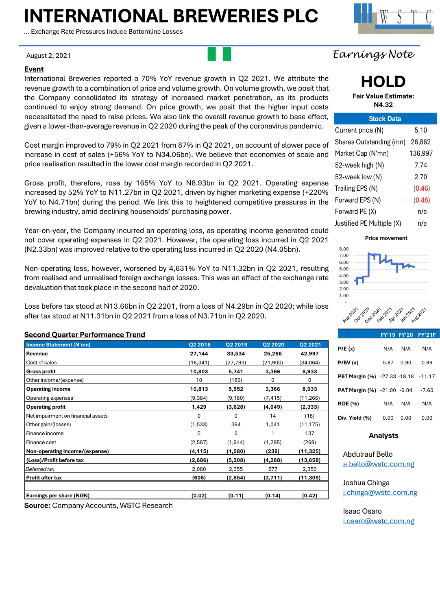# **INTERNATIONAL BREWERIES PLC**

… Exchange Rate Pressures Induce Bottomline Losses

#### **Event**

International Breweries reported a 70% YoY revenue growth in Q2 2021. We attribute the revenue growth to a combination of price and volume growth. On volume growth, we posit that the Company consolidated its strategy of increased market penetration, as its products continued to enjoy strong demand. On price growth, we posit that the higher input costs necessitated the need to raise prices. We also link the overall revenue growth to base effect, given a lower-than-average revenue in Q2 2020 during the peak of the coronavirus pandemic.

Cost margin improved to 79% in Q2 2021 from 87% in Q2 2021, on account of slower pace of increase in cost of sales (+56% YoY to N34.06bn). We believe that economies of scale and price realisation resulted in the lower cost margin recorded in Q2 2021.

Gross profit, therefore, rose by 165% YoY to N8.93bn in Q2 2021. Operating expense increased by 52% YoY to N11.27bn in Q2 2021, driven by higher marketing expense (+220% YoY to N4.71bn) during the period. We link this to heightened competitive pressures in the brewing industry, amid declining households' purchasing power.

Year-on-year, the Company incurred an operating loss, as operating income generated could not cover operating expenses in Q2 2021. However, the operating loss incurred in Q2 2021 (N2.33bn) was improved relative to the operating loss incurred in Q2 2020 (N4.05bn).

Non-operating loss, however, worsened by 4,631% YoY to N11.32bn in Q2 2021, resulting from realised and unrealised foreign exchange losses. This was an effect of the exchange rate devaluation that took place in the second half of 2020.

Loss before tax stood at N13.66bn in Q2 2201, from a loss of N4.29bn in Q2 2020; while loss after tax stood at N11.31bn in Q2 2021 from a loss of N3.71bn in Q2 2020.

#### **Second Quarter Performance Trend**

| <b>Income Statement (N'mn)</b>     | Q2 2018   | Q2 2019   | Q2 2020  | Q2 2021   |
|------------------------------------|-----------|-----------|----------|-----------|
| Revenue                            | 27,144    | 33,534    | 25,266   | 42,997    |
| Cost of sales                      | (16, 341) | (27, 793) | (21,900) | (34,064)  |
| <b>Gross profit</b>                | 10,803    | 5,741     | 3,366    | 8,933     |
| Other income/(expense)             | 10        | (189)     | 0        | 0         |
| <b>Operating income</b>            | 10,813    | 5,552     | 3,366    | 8,933     |
| Operating expenses                 | (9, 384)  | (9,180)   | (7,415)  | (11, 266) |
| <b>Operating profit</b>            | 1,429     | (3,628)   | (4,049)  | (2,333)   |
| Net impairment on financial assets | 0         | 0         | 14       | (18)      |
| Other gain/(losses)                | (1,533)   | 364       | 1,041    | (11, 175) |
| l Finance income                   | 5         | 0         | 1        | 137       |
| Finance cost                       | (2,587)   | (1, 944)  | (1, 295) | (269)     |
| Non-operating income/(expense)     | (4,115)   | (1,580)   | (239)    | (11,325)  |
| (Loss)/Profit before tax           | (2,686)   | (5,208)   | (4,288)  | (13,658)  |
| Deferred tax                       | 2,080     | 2,355     | 577      | 2,350     |
| Profit after tax                   | (606)     | (2,854)   | (3,711)  | (11, 309) |
| <b>Earnings per share (NGN)</b>    | (0.02)    | (0.11)    | (0.14)   | (0.42)    |

**Source:** Company Accounts, WSTC Research

## August 2, 2021 *Earnings Note*

**HOLD**

**Fair Value Estimate: N4.32**

| <b>Stock Data</b>         |         |
|---------------------------|---------|
| Current price (N)         | 5.10    |
| Shares Outstanding (mn)   | 26.862  |
| Market Cap (N'mn)         | 136,997 |
| 52-week high (N)          | 7.74    |
| 52-week low (N)           | 2.70    |
| Trailing EPS (N)          | (0.46)  |
| Forward EPS (N)           | (0.48)  |
| Forward PE (X)            | n/a     |
| Justified PE Multiple (X) | n/a     |

#### **Price movement**



#### **FY'19 FY'20 FY'21F**

| P/E(x)                                     | N/A  | N/A  | N/A     |
|--------------------------------------------|------|------|---------|
| P/BV(x)                                    | 5.87 | 0.90 | 0.99    |
| <b>PBT Margin (%)</b> -27.33 -18.18 -11.17 |      |      |         |
| <b>PAT Margin (%)</b> -21.00 -9.04         |      |      | $-7.60$ |
| <b>ROE (%)</b>                             | N/A  | N/A  | N/A     |
| Div. Yield (%)                             | 0.00 | 0.00 | 0.00    |

#### **Analysts**

Abdulrauf Bello [a.bello@wstc.com.ng](mailto:a.bello@wstc.com.ng)

Joshua Chinga [j.chinga@wstc.com.ng](mailto:j.chinga@wstc.com.ng)

Isaac Osaro [i.osaro@wstc.com.ng](mailto:i.osaro@wstc.com.ng)

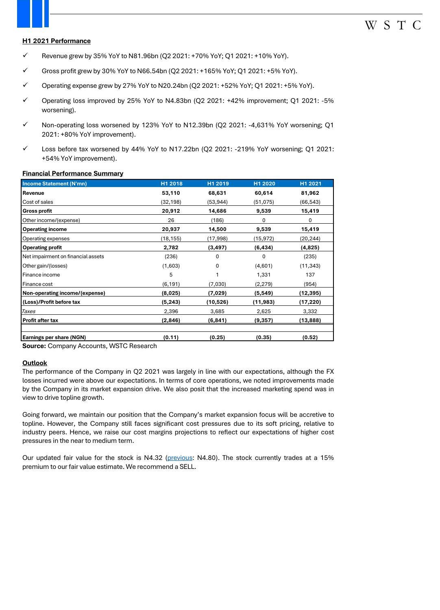#### **H1 2021 Performance**

- $\checkmark$  Revenue grew by 35% YoY to N81.96bn (Q2 2021: +70% YoY; Q1 2021: +10% YoY).
- ✓ Gross profit grew by 30% YoY to N66.54bn (Q2 2021: +165% YoY; Q1 2021: +5% YoY).
- $\checkmark$  Operating expense grew by 27% YoY to N20.24bn (Q2 2021: +52% YoY; Q1 2021: +5% YoY).
- ✓ Operating loss improved by 25% YoY to N4.83bn (Q2 2021: +42% improvement; Q1 2021: -5% worsening).
- ✓ Non-operating loss worsened by 123% YoY to N12.39bn (Q2 2021: -4,631% YoY worsening; Q1 2021: +80% YoY improvement).
- $\checkmark$  Loss before tax worsened by 44% YoY to N17.22bn (Q2 2021: -219% YoY worsening; Q1 2021: +54% YoY improvement).

#### **Financial Performance Summary**

| <b>Income Statement (N'mn)</b>     | H1 2018   | H1 2019<br>H1 2020   |          | H1 2021   |  |
|------------------------------------|-----------|----------------------|----------|-----------|--|
| Revenue                            | 53,110    | 68,631<br>60,614     |          | 81,962    |  |
| Cost of sales                      | (32,198)  | (53,944)             | (51,075) | (66,543)  |  |
| <b>Gross profit</b>                | 20,912    | 14,686               | 9,539    | 15,419    |  |
| Other income/(expense)             | 26        | (186)                | 0        | 0         |  |
| <b>Operating income</b>            | 20,937    | 14,500<br>9,539      |          | 15,419    |  |
| <b>Operating expenses</b>          | (18, 155) | (17,998)<br>(15,972) |          | (20,244)  |  |
| <b>Operating profit</b>            | 2,782     | (3, 497)<br>(6, 434) |          | (4,825)   |  |
| Net impairment on financial assets | (236)     | 0                    | 0        | (235)     |  |
| Other gain/(losses)                | (1,603)   | (4,601)<br>0         |          | (11, 343) |  |
| <b>l</b> Finance income            | 5         |                      | 1,331    | 137       |  |
| l Finance cost                     | (6, 191)  | (7,030)<br>(2, 279)  |          | (954)     |  |
| Non-operating income/(expense)     | (8,025)   | (7,029)              | (5, 549) | (12,395)  |  |
| (Loss)/Profit before tax           | (5,243)   | (10,526)             | (11,983) | (17,220)  |  |
| Taxes                              | 2,396     | 3,685                | 2,625    | 3,332     |  |
| Profit after tax                   | (2,846)   | (6, 841)             | (9, 357) | (13,888)  |  |
|                                    |           |                      |          |           |  |
| <b>Earnings per share (NGN)</b>    | (0.11)    | (0.25)               | (0.35)   | (0.52)    |  |

**Source:** Company Accounts, WSTC Research

#### **Outlook**

The performance of the Company in Q2 2021 was largely in line with our expectations, although the FX losses incurred were above our expectations. In terms of core operations, we noted improvements made by the Company in its market expansion drive. We also posit that the increased marketing spend was in view to drive topline growth.

Going forward, we maintain our position that the Company's market expansion focus will be accretive to topline. However, the Company still faces significant cost pressures due to its soft pricing, relative to industry peers. Hence, we raise our cost margins projections to reflect our expectations of higher cost pressures in the near to medium term.

Our updated fair value for the stock is N4.32 [\(previous:](file:///C:/Users/abello/WSTC Financial Services Limited/Investment Research - Documents/Research Reports/Earnings Release/FMCG Sector/International Breweries Reports/International Breweries Plc Q1 2021 - Margins Remain Weak Despite Topline Growth.pdf) N4.80). The stock currently trades at a 15% premium to our fair value estimate. We recommend a SELL.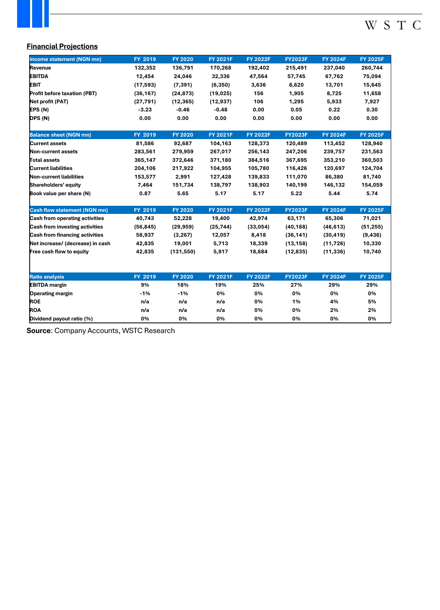# W S T C

#### **Financial Projections**

| Income statement (NGN mn)           | FY 2019   | <b>FY 2020</b> | <b>FY 2021F</b> | <b>FY 2022F</b> | <b>FY2023F</b> | <b>FY 2024F</b> | <b>FY 2025F</b> |
|-------------------------------------|-----------|----------------|-----------------|-----------------|----------------|-----------------|-----------------|
| Revenue                             | 132,352   | 136,791        | 170,268         | 192,402         | 215,491        | 237,040         | 260,744         |
| <b>EBITDA</b>                       | 12,454    | 24,046         | 32,336          | 47,564          | 57,745         | 67,762          | 75,094          |
| <b>EBIT</b>                         | (17, 593) | (7, 391)       | (6, 350)        | 3,636           | 8,620          | 13,701          | 15,645          |
| Profit before taxation (PBT)        | (36, 167) | (24, 873)      | (19, 025)       | 156             | 1,905          | 8,725           | 11,658          |
| Net profit (PAT)                    | (27, 791) | (12, 365)      | (12, 937)       | 106             | 1,295          | 5,933           | 7,927           |
| EPS(M)                              | $-3.23$   | $-0.46$        | $-0.48$         | 0.00            | 0.05           | 0.22            | 0.30            |
| DPS (N)                             | 0.00      | 0.00           | 0.00            | 0.00            | 0.00           | 0.00            | 0.00            |
| <b>Balance sheet (NGN mn)</b>       | FY 2019   | <b>FY 2020</b> | <b>FY 2021F</b> | <b>FY 2022F</b> | <b>FY2023F</b> | <b>FY 2024F</b> | <b>FY 2025F</b> |
| <b>Current assets</b>               | 81,586    | 92,687         | 104,163         | 128,373         | 120,489        | 113,452         | 128,940         |
| Non-current assets                  | 283,561   | 279,959        | 267,017         | 256,143         | 247,206        | 239,757         | 231,563         |
| Total assets                        | 365,147   | 372,646        | 371,180         | 384,516         | 367,695        | 353,210         | 360,503         |
| <b>Current liabilities</b>          | 204,106   | 217,922        | 104,955         | 105,780         | 116,426        | 120,697         | 124,704         |
| Non-current liabilities             | 153,577   | 2,991          | 127,428         | 139,833         | 111,070        | 86,380          | 81,740          |
| Shareholders' equity                | 7,464     | 151,734        | 138,797         | 138,903         | 140,199        | 146,132         | 154,059         |
| Book value per share (N)            | 0.87      | 5.65           | 5.17            | 5.17            | 5.22           | 5.44            | 5.74            |
| <b>Cash flow statement (NGN mn)</b> | FY 2019   | <b>FY 2020</b> | <b>FY 2021F</b> | <b>FY 2022F</b> | <b>FY2023F</b> | <b>FY 2024F</b> | <b>FY 2025F</b> |
| Cash from operating activities      | 40,743    | 52,228         | 19,400          | 42,974          | 63,171         | 65,306          | 71,021          |
| Cash from investing activities      | (56, 845) | (29, 959)      | (25, 744)       | (33,054)        | (40, 188)      | (46, 613)       | (51, 255)       |
| Cash from financing activities      | 58,937    | (3, 267)       | 12,057          | 8,418           | (36, 141)      | (30, 419)       | (9, 436)        |
| Net increase/ (decrease) in cash    | 42,835    | 19,001         | 5,713           | 18,339          | (13, 158)      | (11, 726)       | 10,330          |
| Free cash flow to equity            | 42,835    | (131, 550)     | 5,917           | 18,684          | (12, 835)      | (11, 336)       | 10,740          |
| <b>Ratio analysis</b>               | FY 2019   | <b>FY 2020</b> | <b>FY 2021F</b> | <b>FY 2022F</b> | <b>FY2023F</b> | <b>FY 2024F</b> | <b>FY 2025F</b> |
| <b>EBITDA</b> margin                | 9%        | 18%            | 19%             | 25%             | 27%            | 29%             | 29%             |
| <b>Operating margin</b>             | $-1%$     | $-1%$          | 0%              | 0%              | 0%             | 0%              | 0%              |
| <b>ROE</b>                          | n/a       | n/a            | n/a             | 0%              | 1%             | 4%              | 5%              |
| <b>ROA</b>                          | n/a       | n/a            | n/a             | 0%              | 0%             | 2%              | 2%              |
| Dividend payout ratio (%)           | 0%        | 0%             | 0%              | 0%              | 0%             | 0%              | 0%              |

**Source**: Company Accounts, WSTC Research